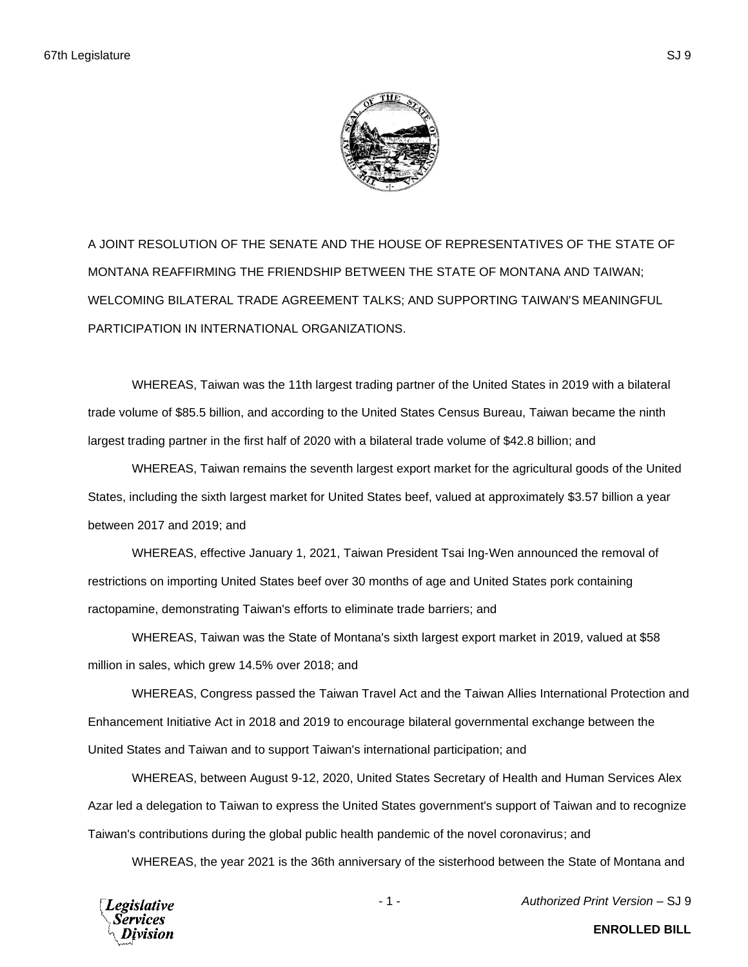

A JOINT RESOLUTION OF THE SENATE AND THE HOUSE OF REPRESENTATIVES OF THE STATE OF MONTANA REAFFIRMING THE FRIENDSHIP BETWEEN THE STATE OF MONTANA AND TAIWAN; WELCOMING BILATERAL TRADE AGREEMENT TALKS; AND SUPPORTING TAIWAN'S MEANINGFUL PARTICIPATION IN INTERNATIONAL ORGANIZATIONS.

WHEREAS, Taiwan was the 11th largest trading partner of the United States in 2019 with a bilateral trade volume of \$85.5 billion, and according to the United States Census Bureau, Taiwan became the ninth largest trading partner in the first half of 2020 with a bilateral trade volume of \$42.8 billion; and

WHEREAS, Taiwan remains the seventh largest export market for the agricultural goods of the United States, including the sixth largest market for United States beef, valued at approximately \$3.57 billion a year between 2017 and 2019; and

WHEREAS, effective January 1, 2021, Taiwan President Tsai Ing-Wen announced the removal of restrictions on importing United States beef over 30 months of age and United States pork containing ractopamine, demonstrating Taiwan's efforts to eliminate trade barriers; and

WHEREAS, Taiwan was the State of Montana's sixth largest export market in 2019, valued at \$58 million in sales, which grew 14.5% over 2018; and

WHEREAS, Congress passed the Taiwan Travel Act and the Taiwan Allies International Protection and Enhancement Initiative Act in 2018 and 2019 to encourage bilateral governmental exchange between the United States and Taiwan and to support Taiwan's international participation; and

WHEREAS, between August 9-12, 2020, United States Secretary of Health and Human Services Alex Azar led a delegation to Taiwan to express the United States government's support of Taiwan and to recognize Taiwan's contributions during the global public health pandemic of the novel coronavirus; and

WHEREAS, the year 2021 is the 36th anniversary of the sisterhood between the State of Montana and





- 1 - *Authorized Print Version* – SJ 9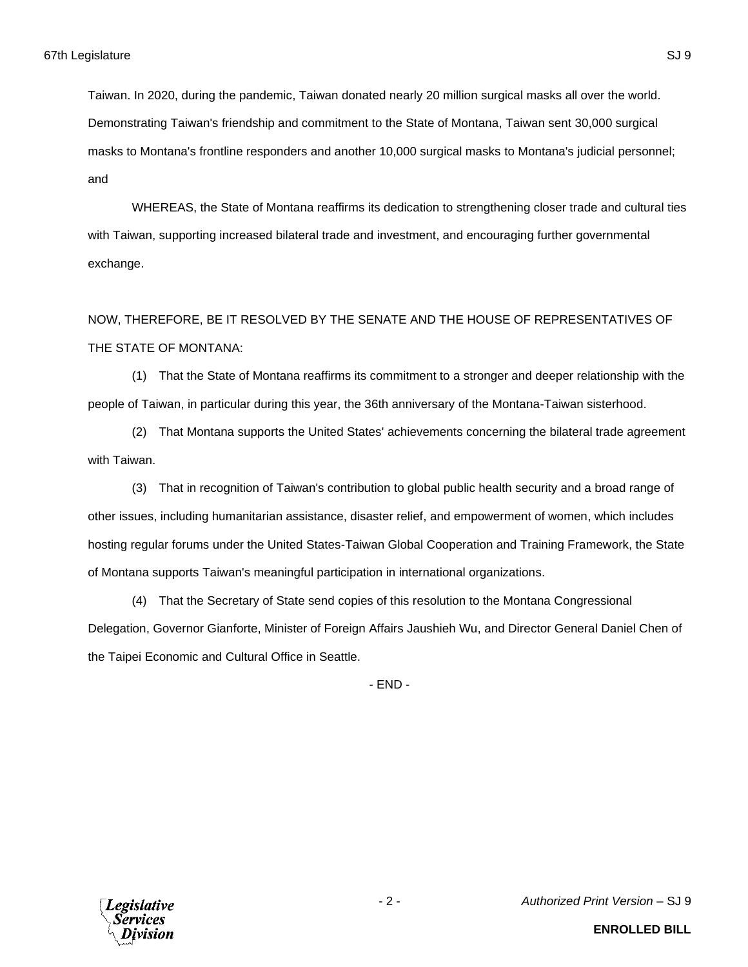Taiwan. In 2020, during the pandemic, Taiwan donated nearly 20 million surgical masks all over the world. Demonstrating Taiwan's friendship and commitment to the State of Montana, Taiwan sent 30,000 surgical masks to Montana's frontline responders and another 10,000 surgical masks to Montana's judicial personnel; and

WHEREAS, the State of Montana reaffirms its dedication to strengthening closer trade and cultural ties with Taiwan, supporting increased bilateral trade and investment, and encouraging further governmental exchange.

NOW, THEREFORE, BE IT RESOLVED BY THE SENATE AND THE HOUSE OF REPRESENTATIVES OF THE STATE OF MONTANA:

(1) That the State of Montana reaffirms its commitment to a stronger and deeper relationship with the people of Taiwan, in particular during this year, the 36th anniversary of the Montana-Taiwan sisterhood.

(2) That Montana supports the United States' achievements concerning the bilateral trade agreement with Taiwan.

(3) That in recognition of Taiwan's contribution to global public health security and a broad range of other issues, including humanitarian assistance, disaster relief, and empowerment of women, which includes hosting regular forums under the United States-Taiwan Global Cooperation and Training Framework, the State of Montana supports Taiwan's meaningful participation in international organizations.

(4) That the Secretary of State send copies of this resolution to the Montana Congressional Delegation, Governor Gianforte, Minister of Foreign Affairs Jaushieh Wu, and Director General Daniel Chen of the Taipei Economic and Cultural Office in Seattle.

- END -



- 2 - *Authorized Print Version* – SJ 9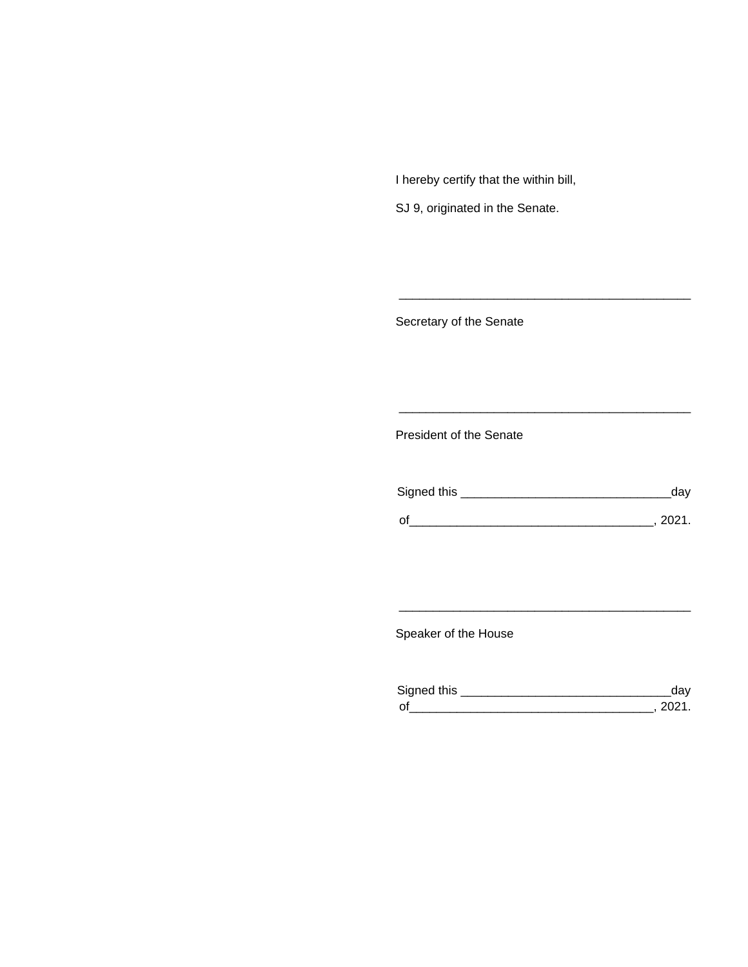I hereby certify that the within bill,

SJ 9, originated in the Senate.

Secretary of the Senate

President of the Senate

| Signed this |        |
|-------------|--------|
|             |        |
| $\Omega$    | 111111 |

\_\_\_\_\_\_\_\_\_\_\_\_\_\_\_\_\_\_\_\_\_\_\_\_\_\_\_\_\_\_\_\_\_\_\_\_\_\_\_\_\_\_\_

\_\_\_\_\_\_\_\_\_\_\_\_\_\_\_\_\_\_\_\_\_\_\_\_\_\_\_\_\_\_\_\_\_\_\_\_\_\_\_\_\_\_\_

Speaker of the House

| Signed this         |  |
|---------------------|--|
| $\mathsf{\Omega}^t$ |  |

\_\_\_\_\_\_\_\_\_\_\_\_\_\_\_\_\_\_\_\_\_\_\_\_\_\_\_\_\_\_\_\_\_\_\_\_\_\_\_\_\_\_\_